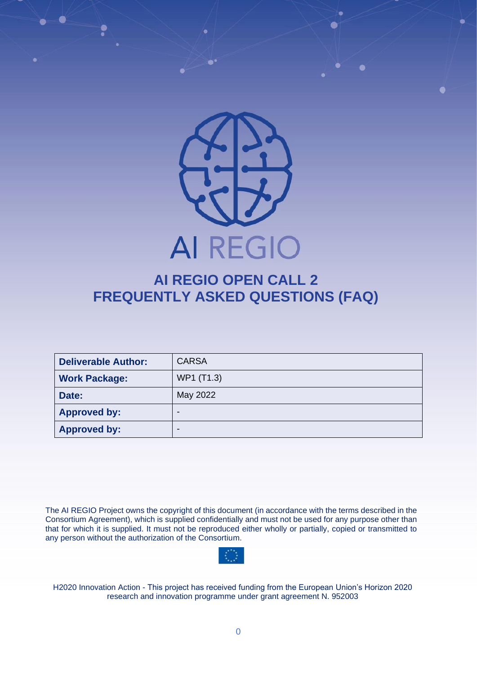

# **AI REGIO OPEN CALL 2 FREQUENTLY ASKED QUESTIONS (FAQ)**

| <b>Deliverable Author:</b> | <b>CARSA</b> |  |
|----------------------------|--------------|--|
| <b>Work Package:</b>       | WP1 (T1.3)   |  |
| Date:                      | May 2022     |  |
| <b>Approved by:</b>        | -            |  |
| <b>Approved by:</b>        | -            |  |

The AI REGIO Project owns the copyright of this document (in accordance with the terms described in the Consortium Agreement), which is supplied confidentially and must not be used for any purpose other than that for which it is supplied. It must not be reproduced either wholly or partially, copied or transmitted to any person without the authorization of the Consortium.



H2020 Innovation Action - This project has received funding from the European Union's Horizon 2020 research and innovation programme under grant agreement N. 952003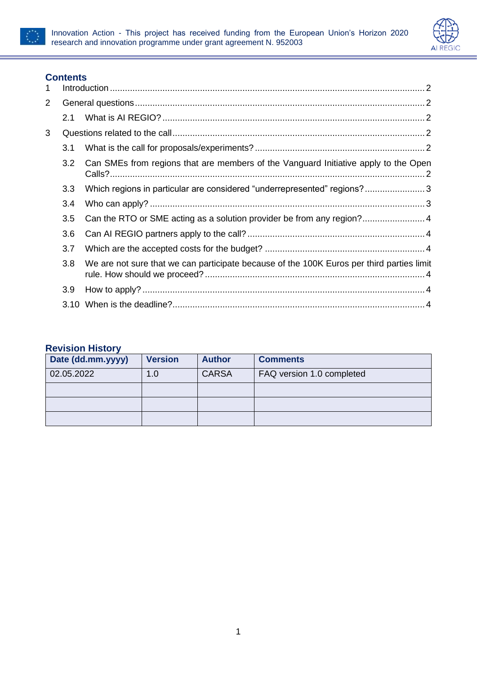



## **Contents**

| 1 |                  |                                                                                           |  |  |
|---|------------------|-------------------------------------------------------------------------------------------|--|--|
| 2 |                  |                                                                                           |  |  |
|   | 2.1              |                                                                                           |  |  |
| 3 |                  |                                                                                           |  |  |
|   | 3.1              |                                                                                           |  |  |
|   | 3.2 <sub>2</sub> | Can SMEs from regions that are members of the Vanguard Initiative apply to the Open       |  |  |
|   | 3.3              | Which regions in particular are considered "underrepresented" regions?3                   |  |  |
|   | 3.4              |                                                                                           |  |  |
|   | 3.5              |                                                                                           |  |  |
|   | 3.6              |                                                                                           |  |  |
|   | 3.7              |                                                                                           |  |  |
|   | 3.8              | We are not sure that we can participate because of the 100K Euros per third parties limit |  |  |
|   | 3.9              |                                                                                           |  |  |
|   |                  |                                                                                           |  |  |

### **Revision History**

| Date (dd.mm.yyyy) | <b>Version</b> | <b>Author</b> | <b>Comments</b>           |
|-------------------|----------------|---------------|---------------------------|
| 02.05.2022        | 1.0            | <b>CARSA</b>  | FAQ version 1.0 completed |
|                   |                |               |                           |
|                   |                |               |                           |
|                   |                |               |                           |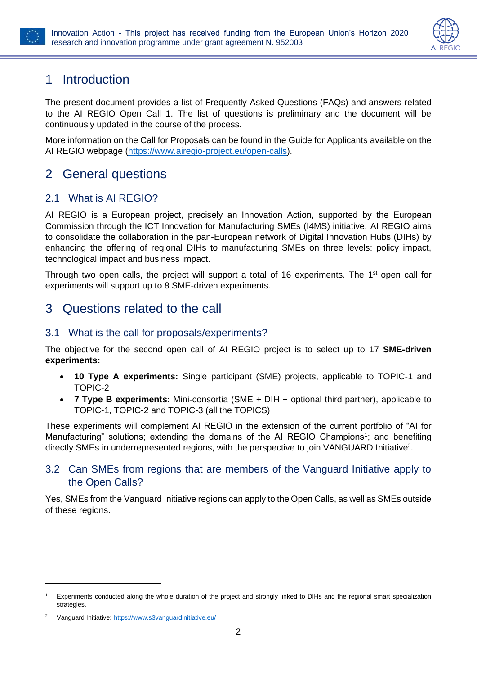



## <span id="page-2-0"></span>1 Introduction

The present document provides a list of Frequently Asked Questions (FAQs) and answers related to the AI REGIO Open Call 1. The list of questions is preliminary and the document will be continuously updated in the course of the process.

More information on the Call for Proposals can be found in the Guide for Applicants available on the AI REGIO webpage [\(https://www.airegio-project.eu/open-calls\)](https://www.airegio-project.eu/open-calls).

## <span id="page-2-1"></span>2 General questions

## <span id="page-2-2"></span>2.1 What is AI REGIO?

AI REGIO is a European project, precisely an Innovation Action, supported by the European Commission through the ICT Innovation for Manufacturing SMEs (I4MS) initiative. AI REGIO aims to consolidate the collaboration in the pan-European network of Digital Innovation Hubs (DIHs) by enhancing the offering of regional DIHs to manufacturing SMEs on three levels: policy impact, technological impact and business impact.

Through two open calls, the project will support a total of 16 experiments. The 1<sup>st</sup> open call for experiments will support up to 8 SME-driven experiments.

## <span id="page-2-3"></span>3 Questions related to the call

### <span id="page-2-4"></span>3.1 What is the call for proposals/experiments?

The objective for the second open call of AI REGIO project is to select up to 17 **SME-driven experiments:**

- **10 Type A experiments:** Single participant (SME) projects, applicable to TOPIC-1 and TOPIC-2
- **7 Type B experiments:** Mini-consortia (SME + DIH + optional third partner), applicable to TOPIC-1, TOPIC-2 and TOPIC-3 (all the TOPICS)

These experiments will complement AI REGIO in the extension of the current portfolio of "AI for Manufacturing" solutions; extending the domains of the AI REGIO Champions<sup>1</sup>; and benefiting directly SMEs in underrepresented regions, with the perspective to join VANGUARD Initiative<sup>2</sup>.

#### <span id="page-2-5"></span>3.2 Can SMEs from regions that are members of the Vanguard Initiative apply to the Open Calls?

Yes, SMEs from the Vanguard Initiative regions can apply to the Open Calls, as well as SMEs outside of these regions.

<sup>1</sup> Experiments conducted along the whole duration of the project and strongly linked to DIHs and the regional smart specialization **strategies** 

Vanguard Initiative: <https://www.s3vanguardinitiative.eu/>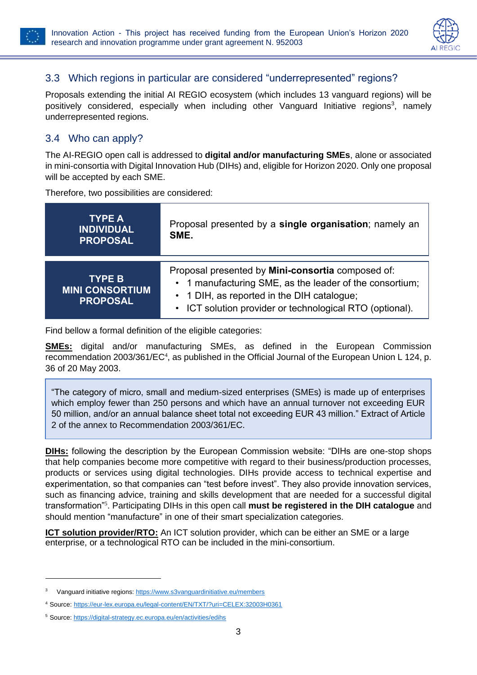

## <span id="page-3-0"></span>3.3 Which regions in particular are considered "underrepresented" regions?

Proposals extending the initial AI REGIO ecosystem (which includes 13 vanguard regions) will be positively considered, especially when including other Vanguard Initiative regions<sup>3</sup>, namely underrepresented regions.

### <span id="page-3-1"></span>3.4 Who can apply?

The AI-REGIO open call is addressed to **digital and/or manufacturing SMEs**, alone or associated in mini-consortia with Digital Innovation Hub (DIHs) and, eligible for Horizon 2020. Only one proposal will be accepted by each SME.

Therefore, two possibilities are considered:

| <b>TYPE A</b><br><b>INDIVIDUAL</b><br><b>PROPOSAL</b>       | Proposal presented by a single organisation; namely an<br>SME.                                                                                                                                                         |  |
|-------------------------------------------------------------|------------------------------------------------------------------------------------------------------------------------------------------------------------------------------------------------------------------------|--|
| <b>TYPE BI</b><br><b>MINI CONSORTIUM</b><br><b>PROPOSAL</b> | Proposal presented by Mini-consortia composed of:<br>• 1 manufacturing SME, as the leader of the consortium;<br>• 1 DIH, as reported in the DIH catalogue;<br>• ICT solution provider or technological RTO (optional). |  |

Find bellow a formal definition of the eligible categories:

**SMEs:** digital and/or manufacturing SMEs, as defined in the European Commission recommendation 2003/361/EC<sup>4</sup>, as published in the Official Journal of the European Union L 124, p. 36 of 20 May 2003.

"The category of micro, small and medium-sized enterprises (SMEs) is made up of enterprises which employ fewer than 250 persons and which have an annual turnover not exceeding EUR 50 million, and/or an annual balance sheet total not exceeding EUR 43 million." Extract of Article 2 of the annex to Recommendation 2003/361/EC.

**DIHs:** following the description by the European Commission website: "DIHs are one-stop shops that help companies become more competitive with regard to their business/production processes, products or services using digital technologies. DIHs provide access to technical expertise and experimentation, so that companies can "test before invest". They also provide innovation services, such as financing advice, training and skills development that are needed for a successful digital transformation"<sup>5</sup> . Participating DIHs in this open call **must be registered in the DIH catalogue** and should mention "manufacture" in one of their smart specialization categories.

**ICT solution provider/RTO:** An ICT solution provider, which can be either an SME or a large enterprise, or a technological RTO can be included in the mini-consortium.

<sup>3</sup> Vanguard initiative regions[: https://www.s3vanguardinitiative.eu/members](https://www.s3vanguardinitiative.eu/members)

<sup>4</sup> Source: <https://eur-lex.europa.eu/legal-content/EN/TXT/?uri=CELEX:32003H0361>

<sup>5</sup> Source:<https://digital-strategy.ec.europa.eu/en/activities/edihs>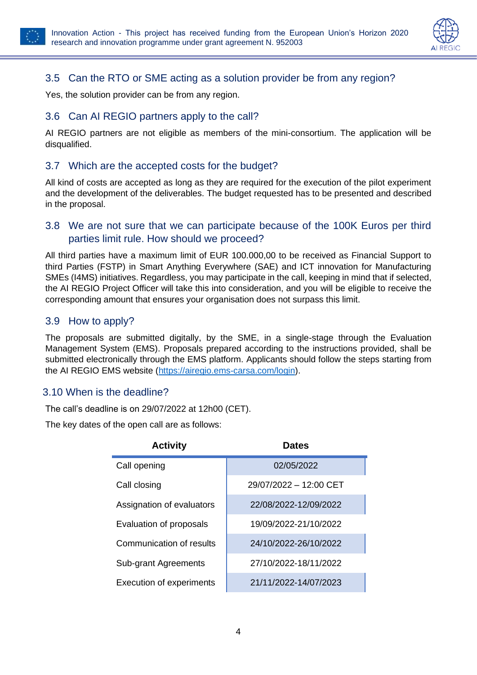



## <span id="page-4-0"></span>3.5 Can the RTO or SME acting as a solution provider be from any region?

Yes, the solution provider can be from any region.

### <span id="page-4-1"></span>3.6 Can AI REGIO partners apply to the call?

AI REGIO partners are not eligible as members of the mini-consortium. The application will be disqualified.

#### <span id="page-4-2"></span>3.7 Which are the accepted costs for the budget?

All kind of costs are accepted as long as they are required for the execution of the pilot experiment and the development of the deliverables. The budget requested has to be presented and described in the proposal.

#### <span id="page-4-3"></span>3.8 We are not sure that we can participate because of the 100K Euros per third parties limit rule. How should we proceed?

All third parties have a maximum limit of EUR 100.000,00 to be received as Financial Support to third Parties (FSTP) in Smart Anything Everywhere (SAE) and ICT innovation for Manufacturing SMEs (I4MS) initiatives. Regardless, you may participate in the call, keeping in mind that if selected, the AI REGIO Project Officer will take this into consideration, and you will be eligible to receive the corresponding amount that ensures your organisation does not surpass this limit.

#### <span id="page-4-4"></span>3.9 How to apply?

The proposals are submitted digitally, by the SME, in a single-stage through the Evaluation Management System (EMS). Proposals prepared according to the instructions provided, shall be submitted electronically through the EMS platform. Applicants should follow the steps starting from the AI REGIO EMS website [\(https://airegio.ems-carsa.com/login\)](https://airegio.ems-carsa.com/login).

#### <span id="page-4-5"></span>3.10 When is the deadline?

The call's deadline is on 29/07/2022 at 12h00 (CET).

The key dates of the open call are as follows:

| <b>Activity</b>                 | <b>Dates</b>           |
|---------------------------------|------------------------|
| Call opening                    | 02/05/2022             |
| Call closing                    | 29/07/2022 - 12:00 CET |
| Assignation of evaluators       | 22/08/2022-12/09/2022  |
| Evaluation of proposals         | 19/09/2022-21/10/2022  |
| Communication of results        | 24/10/2022-26/10/2022  |
| Sub-grant Agreements            | 27/10/2022-18/11/2022  |
| <b>Execution of experiments</b> | 21/11/2022-14/07/2023  |